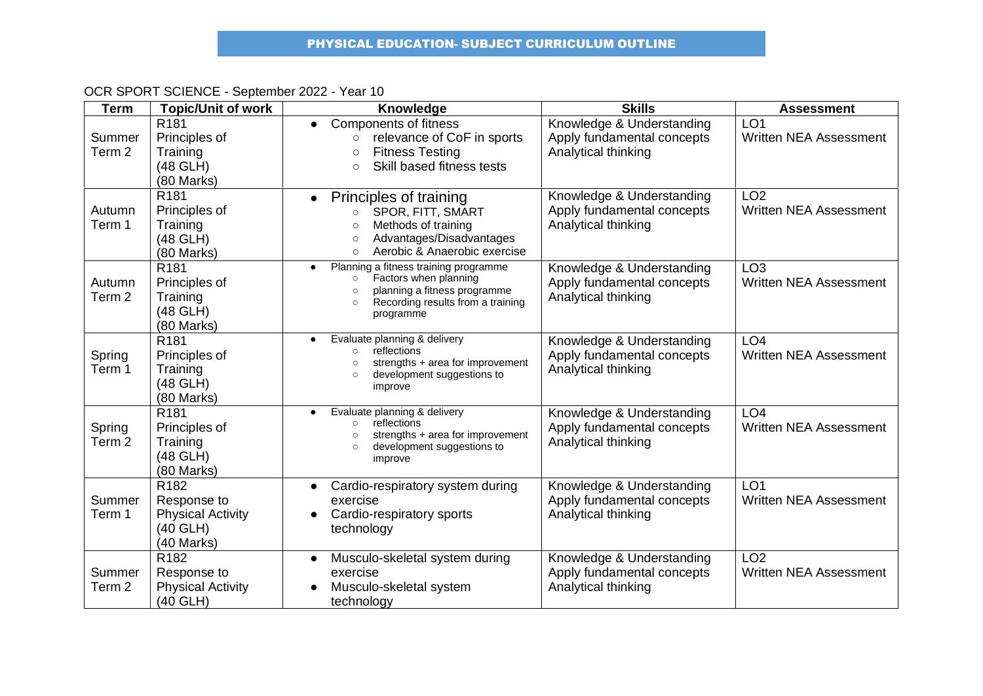| <b>Term</b>                 | <b>Topic/Unit of work</b>                                                             | Knowledge                                                                                                                                                                           | <b>Skills</b>                                                                  | <b>Assessment</b>                                |
|-----------------------------|---------------------------------------------------------------------------------------|-------------------------------------------------------------------------------------------------------------------------------------------------------------------------------------|--------------------------------------------------------------------------------|--------------------------------------------------|
| Summer<br>Term <sub>2</sub> | R <sub>181</sub><br>Principles of<br>Training<br>(48 GLH)<br>(80 Marks)               | <b>Components of fitness</b><br>relevance of CoF in sports<br>$\circ$<br><b>Fitness Testing</b><br>$\circ$<br>Skill based fitness tests<br>$\circ$                                  | Knowledge & Understanding<br>Apply fundamental concepts<br>Analytical thinking | LO <sub>1</sub><br>Written NEA Assessment        |
| Autumn<br>Term 1            | R <sub>181</sub><br>Principles of<br>Training<br>(48 GLH)<br>(80 Marks)               | Principles of training<br>SPOR, FITT, SMART<br>$\circ$<br>Methods of training<br>$\circ$<br>Advantages/Disadvantages<br>$\circ$<br>Aerobic & Anaerobic exercise<br>$\circ$          | Knowledge & Understanding<br>Apply fundamental concepts<br>Analytical thinking | LO <sub>2</sub><br><b>Written NEA Assessment</b> |
| Autumn<br>Term 2            | R <sub>181</sub><br>Principles of<br>Training<br>(48 GLH)<br>(80 Marks)               | Planning a fitness training programme<br>$\bullet$<br>Factors when planning<br>$\circ$<br>planning a fitness programme<br>Recording results from a training<br>$\circ$<br>programme | Knowledge & Understanding<br>Apply fundamental concepts<br>Analytical thinking | LO <sub>3</sub><br><b>Written NEA Assessment</b> |
| Spring<br>Term 1            | R <sub>181</sub><br>Principles of<br>Training<br>(48 GLH)<br>(80 Marks)               | Evaluate planning & delivery<br>reflections<br>$\circ$<br>strengths + area for improvement<br>development suggestions to<br>$\Omega$<br>improve                                     | Knowledge & Understanding<br>Apply fundamental concepts<br>Analytical thinking | LO <sub>4</sub><br><b>Written NEA Assessment</b> |
| Spring<br>Term <sub>2</sub> | R <sub>181</sub><br>Principles of<br>Training<br>(48 GLH)<br>(80 Marks)               | Evaluate planning & delivery<br>$\bullet$<br>reflections<br>strengths + area for improvement<br>development suggestions to<br>improve                                               | Knowledge & Understanding<br>Apply fundamental concepts<br>Analytical thinking | LO <sub>4</sub><br><b>Written NEA Assessment</b> |
| Summer<br>Term 1            | R <sub>182</sub><br>Response to<br><b>Physical Activity</b><br>(40 GLH)<br>(40 Marks) | Cardio-respiratory system during<br>$\bullet$<br>exercise<br>Cardio-respiratory sports<br>technology                                                                                | Knowledge & Understanding<br>Apply fundamental concepts<br>Analytical thinking | LO <sub>1</sub><br><b>Written NEA Assessment</b> |
| Summer<br>Term <sub>2</sub> | R <sub>182</sub><br>Response to<br><b>Physical Activity</b><br>(40 GLH)               | Musculo-skeletal system during<br>$\bullet$<br>exercise<br>Musculo-skeletal system<br>technology                                                                                    | Knowledge & Understanding<br>Apply fundamental concepts<br>Analytical thinking | LO <sub>2</sub><br><b>Written NEA Assessment</b> |

## OCR SPORT SCIENCE - September 2022 - Year 10